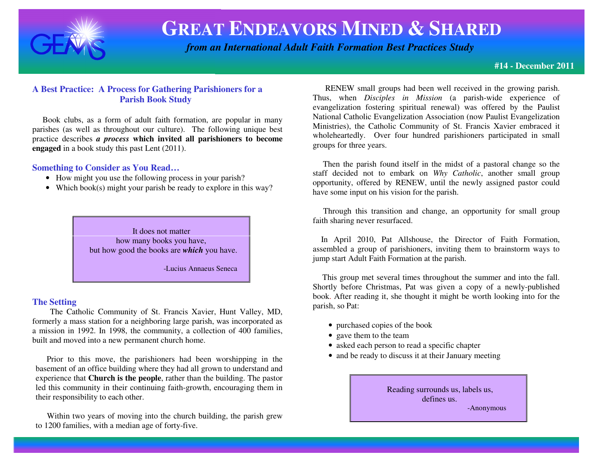

 *from an International Adult Faith Formation Best Practices Study*

#### **#14 - December 2011**

### **A Best Practice: A Process for Gathering Parishioners for a Parish Book Study**

 Book clubs, as a form of adult faith formation, are popular in many parishes (as well as throughout our culture). The following unique best practice describes *a process* **which invited all parishioners to become engaged** in a book study this past Lent (2011).

#### **Something to Consider as You Read…**

- How might you use the following process in your parish?
- Which book(s) might your parish be ready to explore in this way?

 It does not matter how many books you have, but how good the books are *which* you have.

-Lucius Annaeus Seneca

#### **The Setting**

 The Catholic Community of St. Francis Xavier, Hunt Valley, MD, formerly a mass station for a neighboring large parish, was incorporated as a mission in 1992. In 1998, the community, a collection of 400 families, built and moved into a new permanent church home.

 Prior to this move, the parishioners had been worshipping in the basement of an office building where they had all grown to understand and experience that **Church is the people**, rather than the building. The pastor led this community in their continuing faith-growth, encouraging them in their responsibility to each other.

Within two years of moving into the church building, the parish grew to 1200 families, with a median age of forty-five.

 RENEW small groups had been well received in the growing parish. Thus, when *Disciples in Mission* (a parish-wide experience of evangelization fostering spiritual renewal) was offered by the Paulist National Catholic Evangelization Association (now Paulist Evangelization Ministries), the Catholic Community of St. Francis Xavier embraced it wholeheartedly. Over four hundred parishioners participated in small groups for three years.

 Then the parish found itself in the midst of a pastoral change so the staff decided not to embark on *Why Catholic*, another small group opportunity, offered by RENEW, until the newly assigned pastor could have some input on his vision for the parish.

 Through this transition and change, an opportunity for small group faith sharing never resurfaced.

 In April 2010, Pat Allshouse, the Director of Faith Formation, assembled a group of parishioners, inviting them to brainstorm ways to jump start Adult Faith Formation at the parish.

 This group met several times throughout the summer and into the fall. Shortly before Christmas, Pat was given a copy of a newly-published book. After reading it, she thought it might be worth looking into for the parish, so Pat:

- purchased copies of the book
- gave them to the team
- asked each person to read a specific chapter
- and be ready to discuss it at their January meeting

 Reading surrounds us, labels us, defines us. -Anonymous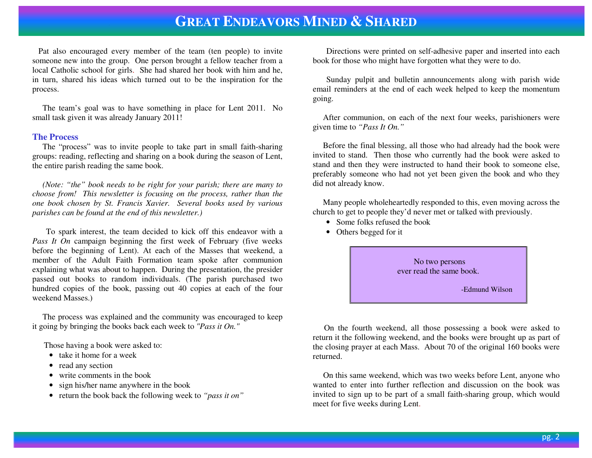Pat also encouraged every member of the team (ten people) to invite someone new into the group. One person brought a fellow teacher from a local Catholic school for girls. She had shared her book with him and he, in turn, shared his ideas which turned out to be the inspiration for the process.

 The team's goal was to have something in place for Lent 2011. No small task given it was already January 2011!

#### **The Process**

 The "process" was to invite people to take part in small faith-sharing groups: reading, reflecting and sharing on a book during the season of Lent, the entire parish reading the same book.

 *(Note: "the" book needs to be right for your parish; there are many to choose from! This newsletter is focusing on the process, rather than the one book chosen by St. Francis Xavier. Several books used by various parishes can be found at the end of this newsletter.)* 

 To spark interest, the team decided to kick off this endeavor with a *Pass It On* campaign beginning the first week of February (five weeks before the beginning of Lent). At each of the Masses that weekend, a member of the Adult Faith Formation team spoke after communion explaining what was about to happen. During the presentation, the presider passed out books to random individuals. (The parish purchased two hundred copies of the book, passing out 40 copies at each of the four weekend Masses.)

 The process was explained and the community was encouraged to keep it going by bringing the books back each week to *"Pass it On."*

Those having a book were asked to:

- take it home for a week
- read any section
- write comments in the book
- sign his/her name anywhere in the book
- return the book back the following week to *"pass it on"*

Directions were printed on self-adhesive paper and inserted into each book for those who might have forgotten what they were to do.

Sunday pulpit and bulletin announcements along with parish wide email reminders at the end of each week helped to keep the momentum going.

 After communion, on each of the next four weeks, parishioners were given time to *"Pass It On."*

 Before the final blessing, all those who had already had the book were invited to stand. Then those who currently had the book were asked to stand and then they were instructed to hand their book to someone else, preferably someone who had not yet been given the book and who they did not already know.

 Many people wholeheartedly responded to this, even moving across the church to get to people they'd never met or talked with previously.

- Some folks refused the book
- Others begged for it



On the fourth weekend, all those possessing a book were asked to return it the following weekend, and the books were brought up as part of the closing prayer at each Mass. About 70 of the original 160 books were returned.

 On this same weekend, which was two weeks before Lent, anyone who wanted to enter into further reflection and discussion on the book was invited to sign up to be part of a small faith-sharing group, which would meet for five weeks during Lent.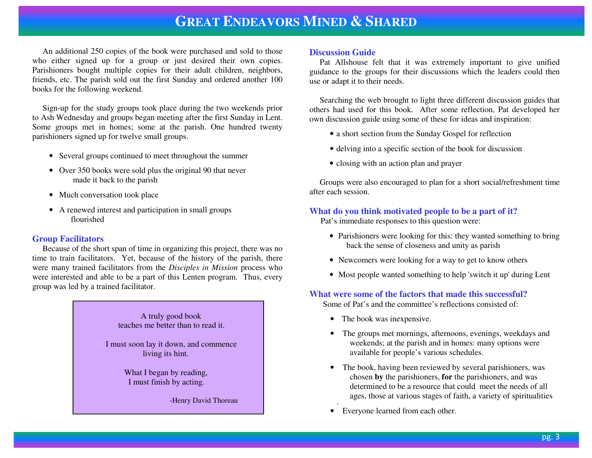An additional 250 copies of the book were purchased and sold to those who either signed up for a group or just desired their own copies. Parishioners bought multiple copies for their adult children, neighbors, friends, etc. The parish sold out the first Sunday and ordered another 100 books for the following weekend.

 Sign-up for the study groups took place during the two weekends prior to Ash Wednesday and groups began meeting after the first Sunday in Lent. Some groups met in homes; some at the parish. One hundred twenty parishioners signed up for twelve small groups.

- Several groups continued to meet throughout the summer
- Over 350 books were sold plus the original 90 that never made it back to the parish
- Much conversation took place
- A renewed interest and participation in small groups flourished

#### **Group Facilitators**

 Because of the short span of time in organizing this project, there was no time to train facilitators. Yet, because of the history of the parish, there were many trained facilitators from the *Disciples in Mission* process who were interested and able to be a part of this Lenten program. Thus, every group was led by a trained facilitator.

> A truly good book teaches me better than to read it. I must soon lay it down, and commence living its hint. What I began by reading, I must finish by acting. -Henry David Thoreau

#### **Discussion Guide**

 Pat Allshouse felt that it was extremely important to give unified guidance to the groups for their discussions which the leaders could then use or adapt it to their needs.

 Searching the web brought to light three different discussion guides that others had used for this book. After some reflection, Pat developed her own discussion guide using some of these for ideas and inspiration:

- a short section from the Sunday Gospel for reflection
- delving into a specific section of the book for discussion
- closing with an action plan and prayer

 Groups were also encouraged to plan for a short social/refreshment time after each session.

#### **What do you think motivated people to be a part of it?**

Pat's immediate responses to this question were:

- Parishioners were looking for this: they wanted something to bring back the sense of closeness and unity as parish
- Newcomers were looking for a way to get to know others
- Most people wanted something to help 'switch it up' during Lent

#### **What were some of the factors that made this successful?**

Some of Pat's and the committee's reflections consisted of:

- The book was inexpensive.
- The groups met mornings, afternoons, evenings, weekdays and weekends; at the parish and in homes: many options were available for people's various schedules.
- The book, having been reviewed by several parishioners, was chosen **by** the parishioners, **for** the parishioners, and was determined to be a resource that could meet the needs of all ages, those at various stages of faith, a variety of spiritualities
- Everyone learned from each other.

.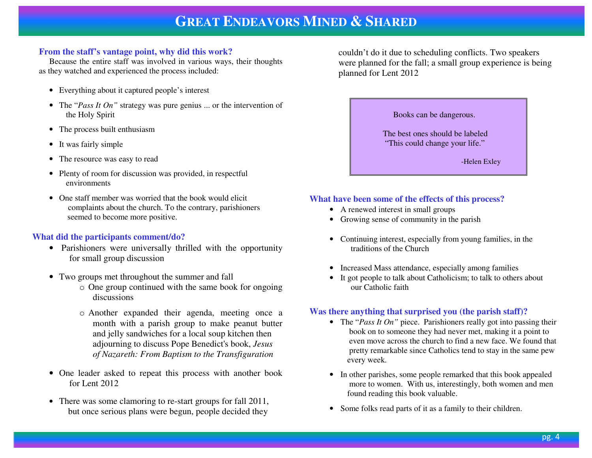#### **From the staff's vantage point, why did this work?**

 Because the entire staff was involved in various ways, their thoughts as they watched and experienced the process included:

- Everything about it captured people's interest
- The "*Pass It On"* strategy was pure genius ... or the intervention of the Holy Spirit
- The process built enthusiasm
- It was fairly simple
- •The resource was easy to read
- Plenty of room for discussion was provided, in respectful environments
- One staff member was worried that the book would elicit complaints about the church. To the contrary, parishioners seemed to become more positive.

#### **What did the participants comment/do?**

- Parishioners were universally thrilled with the opportunity for small group discussion
- Two groups met throughout the summer and fall
	- o One group continued with the same book for ongoingdiscussions
	- o Another expanded their agenda, meeting once a month with a parish group to make peanut butter and jelly sandwiches for a local soup kitchen then adjourning to discuss Pope Benedict's book, *Jesus of Nazareth: From Baptism to the Transfiguration*
- One leader asked to repeat this process with another book for Lent 2012
- There was some clamoring to re-start groups for fall 2011, but once serious plans were begun, people decided they

 couldn't do it due to scheduling conflicts. Two speakers were planned for the fall; a small group experience is being planned for Lent 2012

Books can be dangerous.

 The best ones should be labeled "This could change your life."

-Helen Exley

#### **What have been some of the effects of this process?**

- A renewed interest in small groups
- Growing sense of community in the parish
- Continuing interest, especially from young families, in the traditions of the Church
- Increased Mass attendance, especially among families
- It got people to talk about Catholicism; to talk to others about our Catholic faith

#### **Was there anything that surprised you (the parish staff)?**

- The "*Pass It On"* piece. Parishioners really got into passing their book on to someone they had never met, making it a point to even move across the church to find a new face. We found that pretty remarkable since Catholics tend to stay in the same pew every week.
- In other parishes, some people remarked that this book appealed more to women. With us, interestingly, both women and men found reading this book valuable.
- Some folks read parts of it as a family to their children.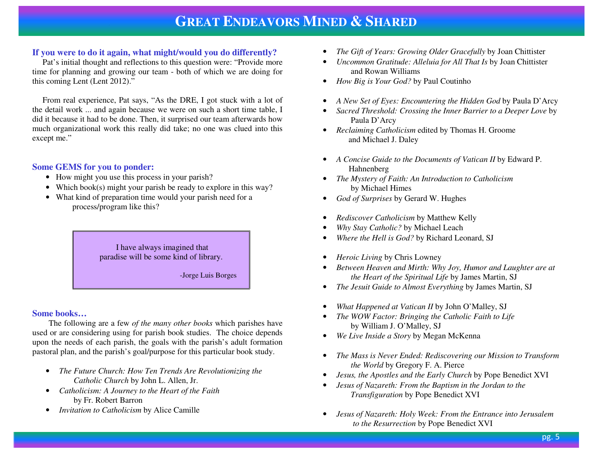### **If you were to do it again, what might/would you do differently?**

 Pat's initial thought and reflections to this question were: "Provide more time for planning and growing our team - both of which we are doing for this coming Lent (Lent 2012)."

 From real experience, Pat says, "As the DRE, I got stuck with a lot of the detail work ... and again because we were on such a short time table, I did it because it had to be done. Then, it surprised our team afterwards how much organizational work this really did take; no one was clued into this except me."

#### **Some GEMS for you to ponder:**

- How might you use this process in your parish?
- Which book(s) might your parish be ready to explore in this way?
- What kind of preparation time would your parish need for a process/program like this?

 I have always imagined that paradise will be some kind of library.

-Jorge Luis Borges

#### **Some books…**

 The following are a few *of the many other books* which parishes have used or are considering using for parish book studies. The choice depends upon the needs of each parish, the goals with the parish's adult formation pastoral plan, and the parish's goal/purpose for this particular book study.

- *The Future Church: How Ten Trends Are Revolutionizing the Catholic Church* by John L. Allen, Jr.
- *Catholicism: A Journey to the Heart of the Faith*  •by Fr. Robert Barron
- *Invitation to Catholicism* by Alice Camille
- •*The Gift of Years: Growing Older Gracefully* by Joan Chittister
- • *Uncommon Gratitude: Alleluia for All That Is* by Joan Chittister and Rowan Williams
- *How Big is Your God?* by Paul Coutinho
- *A New Set of Eyes: Encountering the Hidden God* by Paula D'Arcy
- • *Sacred Threshold: Crossing the Inner Barrier to a Deeper Love* by Paula D'Arcy
- *Reclaiming Catholicism* edited by Thomas H. Groome and Michael J. Daley
- *A Concise Guide to the Documents of Vatican II* by Edward P. Hahnenberg
- • *The Mystery of Faith: An Introduction to Catholicism*  by Michael Himes
- *God of Surprises* by Gerard W. Hughes •
- •*Rediscover Catholicism* by Matthew Kelly
- •*Why Stay Catholic?* by Michael Leach
- •*Where the Hell is God?* by Richard Leonard, SJ
- *Heroic Living* by Chris Lowney
- $\bullet$  *Between Heaven and Mirth: Why Joy, Humor and Laughter are at the Heart of the Spiritual Life* by James Martin, SJ
- *The Jesuit Guide to Almost Everything* by James Martin, SJ
- •*What Happened at Vatican II* by John O'Malley, SJ
- • *The WOW Factor: Bringing the Catholic Faith to Life* by William J. O'Malley, SJ
- *We Live Inside a Story* by Megan McKenna
- • *The Mass is Never Ended: Rediscovering our Mission to Transform the World* by Gregory F. A. Pierce
- •*Jesus, the Apostles and the Early Church* by Pope Benedict XVI
- • *Jesus of Nazareth: From the Baptism in the Jordan to the Transfiguration* by Pope Benedict XVI
- $\bullet$  *Jesus of Nazareth: Holy Week: From the Entrance into Jerusalemto the Resurrection* by Pope Benedict XVI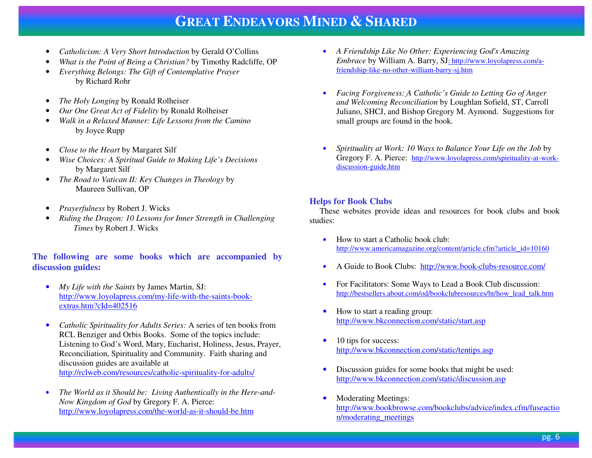- •*Catholicism: A Very Short Introduction* by Gerald O'Collins
- •*What is the Point of Being a Christian?* by Timothy Radcliffe, OP
- • *Everything Belongs: The Gift of Contemplative Prayer* by Richard Rohr
- •*The Holy Longing* by Ronald Rolheiser
- •*Our One Great Act of Fidelity* by Ronald Rolheiser
- • *Walk in a Relaxed Manner: Life Lessons from the Camino*  by Joyce Rupp
- •*Close to the Heart* by Margaret Silf
- • *Wise Choices: A Spiritual Guide to Making Life's Decisions*  by Margaret Silf
- *The Road to Vatican II: Key Changes in Theology* by •Maureen Sullivan, OP
- •*Prayerfulness* by Robert J. Wicks
- • *Riding the Dragon: 10 Lessons for Inner Strength in Challenging Times* by Robert J. Wicks

### **The following are some books which are accompanied by discussion guides:**

- $\bullet$  *My Life with the Saints* by James Martin, SJ: http://www.loyolapress.com/my-life-with-the-saints-bookextras.htm?cId=402516
- $\bullet$  *Catholic Spirituality for Adults Series:* A series of ten books from RCL Benziger and Orbis Books. Some of the topics include: Listening to God's Word, Mary, Eucharist, Holiness, Jesus, Prayer, Reconciliation, Spirituality and Community. Faith sharing anddiscussion guides are available athttp://rclweb.com/resources/catholic-spirituality-for-adults/
- • *The World as it Should be: Living Authentically in the Here-and-Now Kingdom of God* by Gregory F. A. Pierce: http://www.loyolapress.com/the-world-as-it-should-be.htm
- *A Friendship Like No Other: Experiencing God's Amazing Embrace* by William A. Barry, SJ: http://www.loyolapress.com/afriendship-like-no-other-william-barry-sj.htm
- • *Facing Forgiveness: A Catholic's Guide to Letting Go of Anger and Welcoming Reconciliation* by Loughlan Sofield, ST, Carroll Juliano, SHCJ, and Bishop Gregory M. Aymond. Suggestions for small groups are found in the book.
- • *Spirituality at Work: 10 Ways to Balance Your Life on the Job* by Gregory F. A. Pierce: http://www.loyolapress.com/spirituality-at-workdiscussion-guide.htm

### **Helps for Book Clubs**

 These websites provide ideas and resources for book clubs and book studies:

- • How to start a Catholic book club: http://www.americamagazine.org/content/article.cfm?article\_id=10160
- •A Guide to Book Clubs: http://www.book-clubs-resource.com/
- • For Facilitators: Some Ways to Lead a Book Club discussion: http://bestsellers.about.com/od/bookclubresources/ht/how\_lead\_talk.htm
- $\bullet$  How to start a reading group: http://www.bkconnection.com/static/start.asp
- • 10 tips for success: http://www.bkconnection.com/static/tentips.asp
- • Discussion guides for some books that might be used: http://www.bkconnection.com/static/discussion.asp
- • Moderating Meetings: http://www.bookbrowse.com/bookclubs/advice/index.cfm/fuseaction/moderating\_meetings